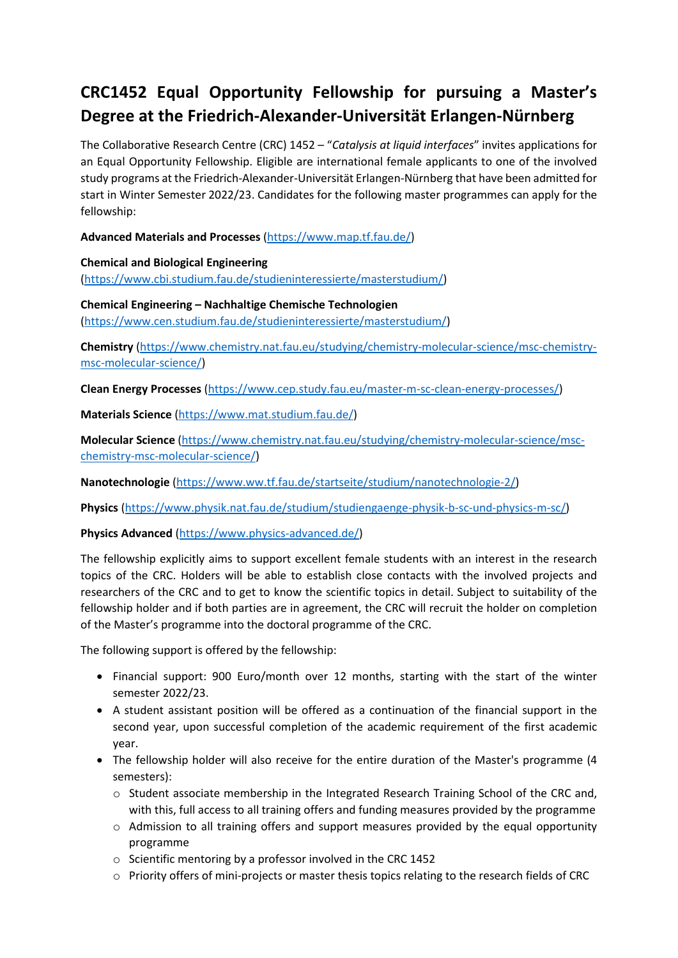## **CRC1452 Equal Opportunity Fellowship for pursuing a Master's Degree at the Friedrich-Alexander-Universität Erlangen-Nürnberg**

The Collaborative Research Centre (CRC) 1452 – "*Catalysis at liquid interfaces*" invites applications for an Equal Opportunity Fellowship. Eligible are international female applicants to one of the involved study programs at the Friedrich-Alexander-Universität Erlangen-Nürnberg that have been admitted for start in Winter Semester 2022/23. Candidates for the following master programmes can apply for the fellowship:

**Advanced Materials and Processes** [\(https://www.map.tf.fau.de/\)](https://www.map.tf.fau.de/)

**Chemical and Biological Engineering** [\(https://www.cbi.studium.fau.de/studieninteressierte/masterstudium/\)](https://www.cbi.studium.fau.de/studieninteressierte/masterstudium/)

**Chemical Engineering – Nachhaltige Chemische Technologien** [\(https://www.cen.studium.fau.de/studieninteressierte/masterstudium/\)](https://www.cen.studium.fau.de/studieninteressierte/masterstudium/)

**Chemistry** (https://www.chemistry.nat.fau.eu/studying/chemistry-molecular-science/msc-chemistrymsc-molecular-science/)

**Clean Energy Processes** (https://www.cep.study.fau.eu/master-m-sc-clean-energy-processes/)

**Materials Science** [\(https://www.mat.studium.fau.de/\)](https://www.mat.studium.fau.de/)

**Molecular Science** (https://www.chemistry.nat.fau.eu/studying/chemistry-molecular-science/mscchemistry-msc-molecular-science/)

**Nanotechnologie** [\(https://www.ww.tf.fau.de/startseite/studium/nanotechnologie-2/\)](https://www.ww.tf.fau.de/startseite/studium/nanotechnologie-2/)

**Physics** [\(https://www.physik.nat.fau.de/studium/studiengaenge-physik-b-sc-und-physics-m-sc/\)](https://www.physik.nat.fau.de/studium/studiengaenge-physik-b-sc-und-physics-m-sc/)

**Physics Advanced** [\(https://www.physics-advanced.de/\)](https://www.physics-advanced.de/)

The fellowship explicitly aims to support excellent female students with an interest in the research topics of the CRC. Holders will be able to establish close contacts with the involved projects and researchers of the CRC and to get to know the scientific topics in detail. Subject to suitability of the fellowship holder and if both parties are in agreement, the CRC will recruit the holder on completion of the Master's programme into the doctoral programme of the CRC.

The following support is offered by the fellowship:

- Financial support: 900 Euro/month over 12 months, starting with the start of the winter semester 2022/23.
- A student assistant position will be offered as a continuation of the financial support in the second year, upon successful completion of the academic requirement of the first academic year.
- The fellowship holder will also receive for the entire duration of the Master's programme (4 semesters):
	- o Student associate membership in the Integrated Research Training School of the CRC and, with this, full access to all training offers and funding measures provided by the programme
	- $\circ$  Admission to all training offers and support measures provided by the equal opportunity programme
	- o Scientific mentoring by a professor involved in the CRC 1452
	- o Priority offers of mini-projects or master thesis topics relating to the research fields of CRC